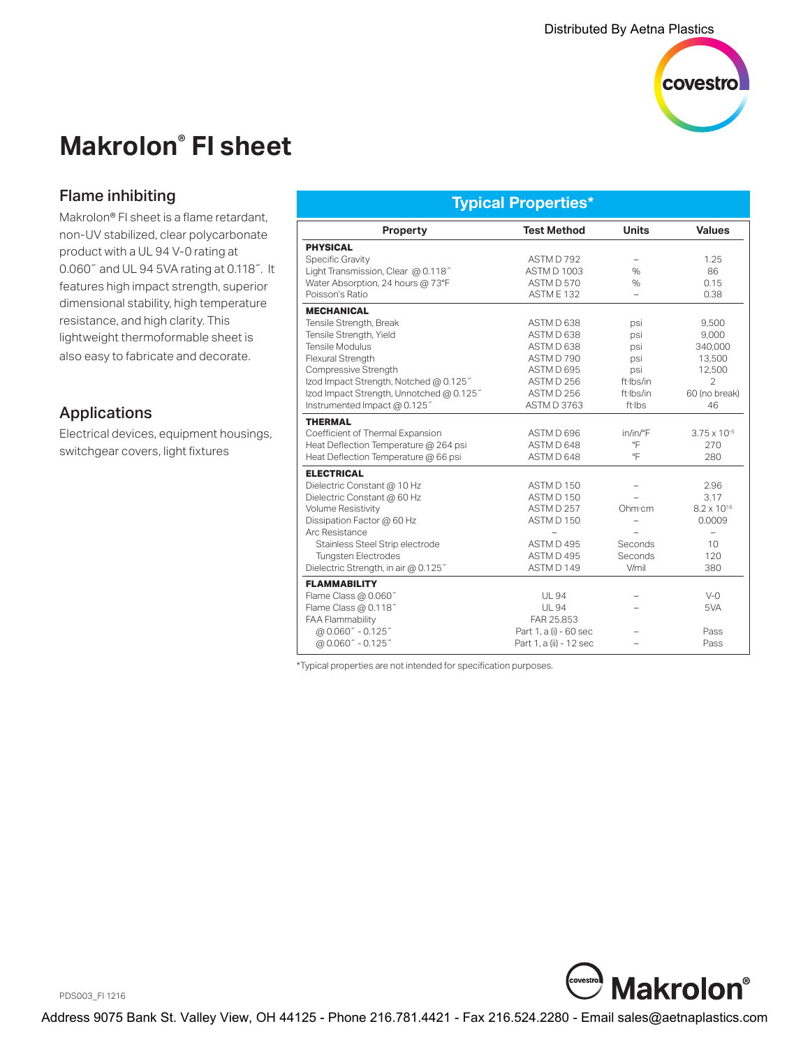

# **Makrolon® FI sheet**

# Flame inhibiting

Makrolon® FI sheet is a flame retardant, non-UV stabilized, clear polycarbonate product with a UL 94 V-0 rating at 0.060˝ and UL 94 5VA rating at 0.118˝. It features high impact strength, superior dimensional stability, high temperature resistance, and high clarity. This lightweight thermoformable sheet is also easy to fabricate and decorate.

# Applications

Electrical devices, equipment housings, switchgear covers, light fixtures

#### **Typical Properties\***

| <b>Property</b>                          | <b>Test Method</b>      | <b>Units</b>        | <b>Values</b>            |
|------------------------------------------|-------------------------|---------------------|--------------------------|
| <b>PHYSICAL</b>                          |                         |                     |                          |
| Specific Gravity                         | ASTM D 792              |                     | 1.25                     |
| Light Transmission, Clear @ 0.118"       | <b>ASTM D 1003</b>      | $\%$                | 86                       |
| Water Absorption, 24 hours @ 73°F        | ASTM D 570              | $\%$                | 0.15                     |
| Poisson's Ratio                          | ASTME <sub>132</sub>    | $\overline{a}$      | 0.38                     |
| <b>MECHANICAL</b>                        |                         |                     |                          |
| Tensile Strength, Break                  | ASTM D 638              | psi                 | 9.500                    |
| Tensile Strength, Yield                  | ASTM D 638              | psi                 | 9,000                    |
| Tensile Modulus                          | ASTM D 638              | psi                 | 340.000                  |
| Flexural Strength                        | ASTM D 790              | psi                 | 13,500                   |
| Compressive Strength                     | ASTM D 695              | psi                 | 12,500                   |
| Izod Impact Strength, Notched @ 0.125"   | ASTM D 256              | ft-Ibs/in           | $\overline{2}$           |
| lzod Impact Strength, Unnotched @ 0.125" | ASTMD 256               | ft-Ibs/in           | 60 (no break)            |
| Instrumented Impact @ 0.125"             | ASTM D 3763             | ft·lbs              | 46                       |
| <b>THERMAL</b>                           |                         |                     |                          |
| Coefficient of Thermal Expansion         | ASTM D 696              | $in/in/{}^{\circ}F$ | $3.75 \times 10^{-5}$    |
| Heat Deflection Temperature @ 264 psi    | ASTM D 648              | °F                  | 270                      |
| Heat Deflection Temperature @ 66 psi     | ASTM D 648              | °F                  | 280                      |
| <b>ELECTRICAL</b>                        |                         |                     |                          |
| Dielectric Constant @ 10 Hz              | ASTMD 150               |                     | 2.96                     |
| Dielectric Constant @ 60 Hz              | ASTM D 150              |                     | 3.17                     |
| Volume Resistivity                       | ASTM D 257              | Ohm·cm              | $8.2 \times 10^{16}$     |
| Dissipation Factor @ 60 Hz               | ASTM D 150              |                     | 0.0009                   |
| Arc Resistance                           |                         |                     | $\overline{\phantom{0}}$ |
| Stainless Steel Strip electrode          | ASTM D 495              | Seconds             | 10                       |
| <b>Tungsten Electrodes</b>               | ASTM D 495              | Seconds             | 120                      |
| Dielectric Strength, in air @ 0.125"     | ASTM D 149              | V/mil               | 380                      |
| <b>FLAMMABILITY</b>                      |                         |                     |                          |
| Flame Class @ 0.060"                     | <b>UL 94</b>            |                     | $V - 0$                  |
| Flame Class @ 0.118"                     | <b>UL 94</b>            |                     | 5VA                      |
| <b>FAA Flammability</b>                  | FAR 25.853              |                     |                          |
| @ 0.060" - 0.125"                        | Part 1, a (i) - 60 sec  |                     | Pass                     |
| @ 0.060" - 0.125"                        | Part 1, a (ii) - 12 sec |                     | Pass                     |

\*Typical properties are not intended for specification purposes.